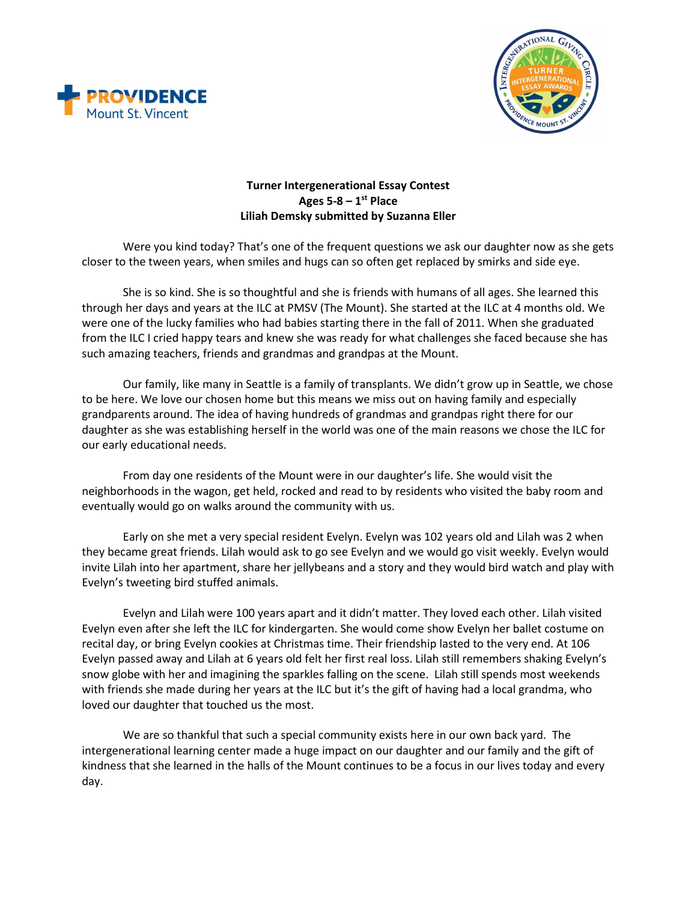



## **Turner Intergenerational Essay Contest Ages 5-8 – 1st Place Liliah Demsky submitted by Suzanna Eller**

Were you kind today? That's one of the frequent questions we ask our daughter now as she gets closer to the tween years, when smiles and hugs can so often get replaced by smirks and side eye.

She is so kind. She is so thoughtful and she is friends with humans of all ages. She learned this through her days and years at the ILC at PMSV (The Mount). She started at the ILC at 4 months old. We were one of the lucky families who had babies starting there in the fall of 2011. When she graduated from the ILC I cried happy tears and knew she was ready for what challenges she faced because she has such amazing teachers, friends and grandmas and grandpas at the Mount.

Our family, like many in Seattle is a family of transplants. We didn't grow up in Seattle, we chose to be here. We love our chosen home but this means we miss out on having family and especially grandparents around. The idea of having hundreds of grandmas and grandpas right there for our daughter as she was establishing herself in the world was one of the main reasons we chose the ILC for our early educational needs.

From day one residents of the Mount were in our daughter's life. She would visit the neighborhoods in the wagon, get held, rocked and read to by residents who visited the baby room and eventually would go on walks around the community with us.

Early on she met a very special resident Evelyn. Evelyn was 102 years old and Lilah was 2 when they became great friends. Lilah would ask to go see Evelyn and we would go visit weekly. Evelyn would invite Lilah into her apartment, share her jellybeans and a story and they would bird watch and play with Evelyn's tweeting bird stuffed animals.

Evelyn and Lilah were 100 years apart and it didn't matter. They loved each other. Lilah visited Evelyn even after she left the ILC for kindergarten. She would come show Evelyn her ballet costume on recital day, or bring Evelyn cookies at Christmas time. Their friendship lasted to the very end. At 106 Evelyn passed away and Lilah at 6 years old felt her first real loss. Lilah still remembers shaking Evelyn's snow globe with her and imagining the sparkles falling on the scene. Lilah still spends most weekends with friends she made during her years at the ILC but it's the gift of having had a local grandma, who loved our daughter that touched us the most.

We are so thankful that such a special community exists here in our own back yard. The intergenerational learning center made a huge impact on our daughter and our family and the gift of kindness that she learned in the halls of the Mount continues to be a focus in our lives today and every day.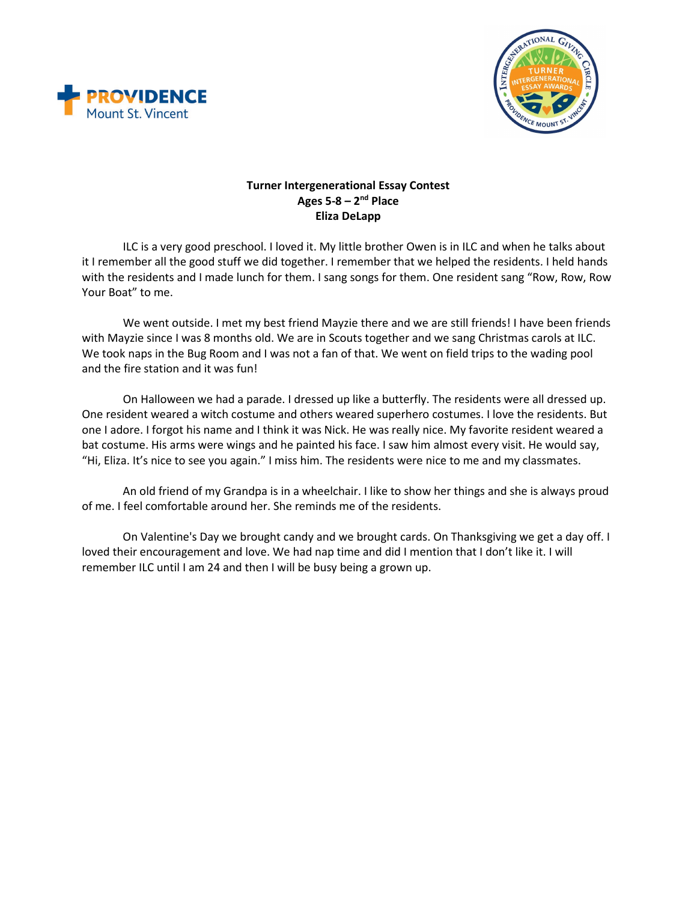



## **Turner Intergenerational Essay Contest Ages 5-8 – 2nd Place Eliza DeLapp**

ILC is a very good preschool. I loved it. My little brother Owen is in ILC and when he talks about it I remember all the good stuff we did together. I remember that we helped the residents. I held hands with the residents and I made lunch for them. I sang songs for them. One resident sang "Row, Row, Row Your Boat" to me.

We went outside. I met my best friend Mayzie there and we are still friends! I have been friends with Mayzie since I was 8 months old. We are in Scouts together and we sang Christmas carols at ILC. We took naps in the Bug Room and I was not a fan of that. We went on field trips to the wading pool and the fire station and it was fun!

On Halloween we had a parade. I dressed up like a butterfly. The residents were all dressed up. One resident weared a witch costume and others weared superhero costumes. I love the residents. But one I adore. I forgot his name and I think it was Nick. He was really nice. My favorite resident weared a bat costume. His arms were wings and he painted his face. I saw him almost every visit. He would say, "Hi, Eliza. It's nice to see you again." I miss him. The residents were nice to me and my classmates.

An old friend of my Grandpa is in a wheelchair. I like to show her things and she is always proud of me. I feel comfortable around her. She reminds me of the residents.

On Valentine's Day we brought candy and we brought cards. On Thanksgiving we get a day off. I loved their encouragement and love. We had nap time and did I mention that I don't like it. I will remember ILC until I am 24 and then I will be busy being a grown up.